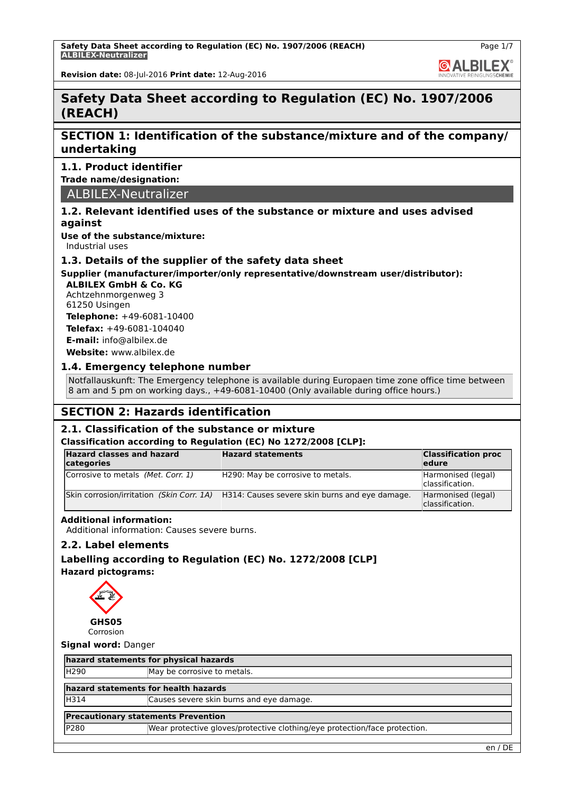

Page 1/7

**Revision date:** 08-Jul-2016 **Print date:** 12-Aug-2016

# **Safety Data Sheet according to Regulation (EC) No. 1907/2006 (REACH)**

# **SECTION 1: Identification of the substance/mixture and of the company/ undertaking**

# **1.1. Product identifier**

**Trade name/designation:**

ALBILEX-Neutralizer

## **1.2. Relevant identified uses of the substance or mixture and uses advised against**

**Use of the substance/mixture:** Industrial uses

# **1.3. Details of the supplier of the safety data sheet**

# **Supplier (manufacturer/importer/only representative/downstream user/distributor):**

**ALBILEX GmbH & Co. KG** Achtzehnmorgenweg 3 61250 Usingen **Telephone:** +49-6081-10400

**Telefax:** +49-6081-104040 **E-mail:** info@albilex.de

**Website:** www.albilex.de

## **1.4. Emergency telephone number**

Notfallauskunft: The Emergency telephone is available during Europaen time zone office time between 8 am and 5 pm on working days., +49-6081-10400 (Only available during office hours.)

# **SECTION 2: Hazards identification**

## **2.1. Classification of the substance or mixture**

## **Classification according to Regulation (EC) No 1272/2008 [CLP]:**

| <b>Hazard classes and hazard</b><br>categories | <b>Hazard statements</b>                       | <b>Classification proc</b><br>ledure  |
|------------------------------------------------|------------------------------------------------|---------------------------------------|
| Corrosive to metals (Met. Corr. 1)             | H290: May be corrosive to metals.              | Harmonised (legal)<br>classification. |
| Skin corrosion/irritation (Skin Corr. 1A)      | H314: Causes severe skin burns and eye damage. | Harmonised (legal)<br>classification. |

## **Additional information:**

Additional information: Causes severe burns.

## **2.2. Label elements**

# **Labelling according to Regulation (EC) No. 1272/2008 [CLP] Hazard pictograms:**



# **Signal word:** Danger

| hazard statements for physical hazards     |                                          |  |  |
|--------------------------------------------|------------------------------------------|--|--|
| H <sub>290</sub>                           | May be corrosive to metals.              |  |  |
|                                            | hazard statements for health hazards     |  |  |
| H314                                       | Causes severe skin burns and eye damage. |  |  |
| <b>Precautionary statements Prevention</b> |                                          |  |  |

P280 Wear protective gloves/protective clothing/eye protection/face protection.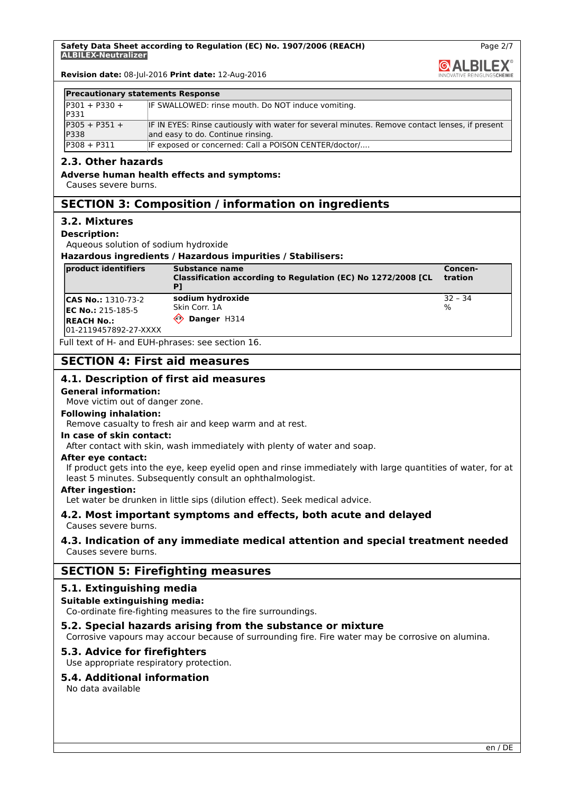Page 2/7

**GALBILEX** 

**Revision date:** 08-Jul-2016 **Print date:** 12-Aug-2016

#### **Precautionary statements Response**

| $IP301 + P330 +$ | IF SWALLOWED: rinse mouth. Do NOT induce vomiting.                                             |
|------------------|------------------------------------------------------------------------------------------------|
| <b>IP331</b>     |                                                                                                |
| $P305 + P351 +$  | IF IN EYES: Rinse cautiously with water for several minutes. Remove contact lenses, if present |
| <b>IP338</b>     | and easy to do. Continue rinsing.                                                              |
| $ P308 + P311 $  | IF exposed or concerned: Call a POISON CENTER/doctor/                                          |

#### **2.3. Other hazards**

#### **Adverse human health effects and symptoms:**

Causes severe burns.

# **SECTION 3: Composition / information on ingredients**

#### **3.2. Mixtures**

#### **Description:**

Aqueous solution of sodium hydroxide

**Hazardous ingredients / Hazardous impurities / Stabilisers:**

| product identifiers                         | Substance name<br>Classification according to Regulation (EC) No 1272/2008 [CL | Concen-<br>tration |
|---------------------------------------------|--------------------------------------------------------------------------------|--------------------|
| <b>CAS No.: 1310-73-2</b>                   | sodium hydroxide                                                               | $ 32 - 34 $        |
| $EC No.: 215-185-5$                         | Skin Corr. 1A                                                                  | $\frac{10}{6}$     |
| <b>IREACH No.:</b><br>01-2119457892-27-XXXX | Danger H314<br>⇐                                                               |                    |

Full text of H- and EUH-phrases: see section 16.

# **SECTION 4: First aid measures**

## **4.1. Description of first aid measures**

#### **General information:**

Move victim out of danger zone.

#### **Following inhalation:**

Remove casualty to fresh air and keep warm and at rest.

#### **In case of skin contact:**

After contact with skin, wash immediately with plenty of water and soap.

#### **After eye contact:**

If product gets into the eye, keep eyelid open and rinse immediately with large quantities of water, for at least 5 minutes. Subsequently consult an ophthalmologist.

#### **After ingestion:**

Let water be drunken in little sips (dilution effect). Seek medical advice.

#### **4.2. Most important symptoms and effects, both acute and delayed** Causes severe burns.

## **4.3. Indication of any immediate medical attention and special treatment needed** Causes severe burns.

## **SECTION 5: Firefighting measures**

#### **5.1. Extinguishing media**

#### **Suitable extinguishing media:**

Co-ordinate fire-fighting measures to the fire surroundings.

#### **5.2. Special hazards arising from the substance or mixture**

Corrosive vapours may accour because of surrounding fire. Fire water may be corrosive on alumina.

## **5.3. Advice for firefighters**

Use appropriate respiratory protection.

#### **5.4. Additional information**

No data available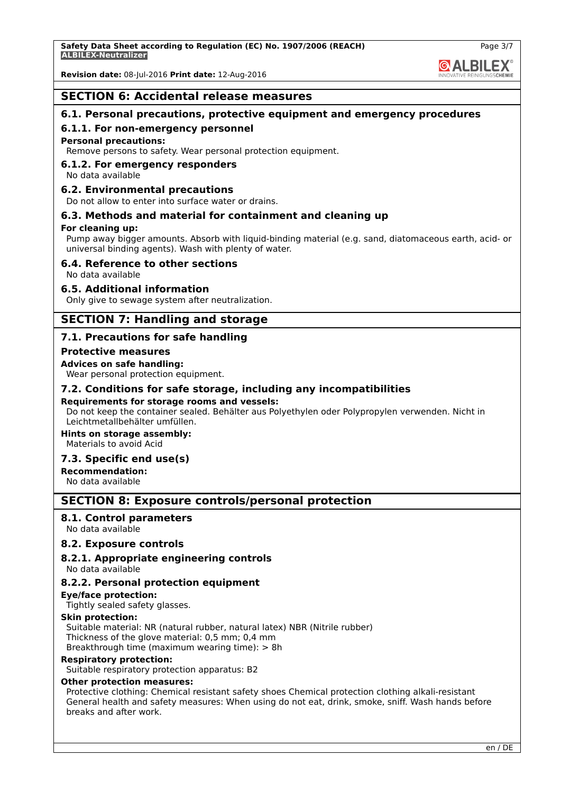**Revision date:** 08-Jul-2016 **Print date:** 12-Aug-2016

## **SECTION 6: Accidental release measures**

## **6.1. Personal precautions, protective equipment and emergency procedures**

#### **6.1.1. For non-emergency personnel**

#### **Personal precautions:**

Remove persons to safety. Wear personal protection equipment.

#### **6.1.2. For emergency responders**

No data available

#### **6.2. Environmental precautions**

Do not allow to enter into surface water or drains.

## **6.3. Methods and material for containment and cleaning up**

#### **For cleaning up:**

Pump away bigger amounts. Absorb with liquid-binding material (e.g. sand, diatomaceous earth, acid- or universal binding agents). Wash with plenty of water.

## **6.4. Reference to other sections**

#### No data available

## **6.5. Additional information**

Only give to sewage system after neutralization.

## **SECTION 7: Handling and storage**

## **7.1. Precautions for safe handling**

#### **Protective measures**

#### **Advices on safe handling:**

Wear personal protection equipment.

#### **7.2. Conditions for safe storage, including any incompatibilities**

#### **Requirements for storage rooms and vessels:**

Do not keep the container sealed. Behälter aus Polyethylen oder Polypropylen verwenden. Nicht in Leichtmetallbehälter umfüllen.

**Hints on storage assembly:** Materials to avoid Acid

#### **7.3. Specific end use(s)**

**Recommendation:**

# No data available

## **SECTION 8: Exposure controls/personal protection**

#### **8.1. Control parameters**

No data available

#### **8.2. Exposure controls**

#### **8.2.1. Appropriate engineering controls**

No data available

## **8.2.2. Personal protection equipment**

#### **Eye/face protection:**

Tightly sealed safety glasses.

**Skin protection:**

Suitable material: NR (natural rubber, natural latex) NBR (Nitrile rubber) Thickness of the glove material: 0,5 mm; 0,4 mm

Breakthrough time (maximum wearing time): > 8h

#### **Respiratory protection:**

Suitable respiratory protection apparatus: B2

#### **Other protection measures:**

Protective clothing: Chemical resistant safety shoes Chemical protection clothing alkali-resistant General health and safety measures: When using do not eat, drink, smoke, sniff. Wash hands before breaks and after work.

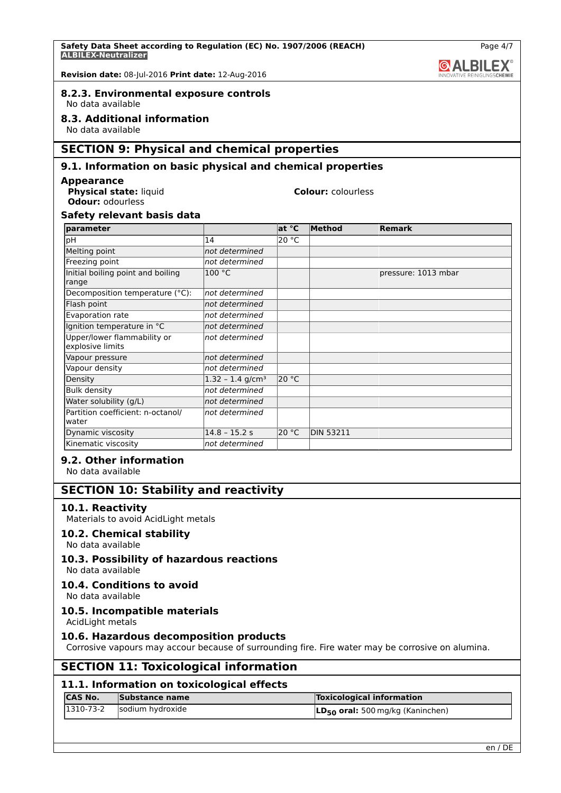

Page 4/7

**Revision date:** 08-Jul-2016 **Print date:** 12-Aug-2016

# **8.2.3. Environmental exposure controls**

No data available

## **8.3. Additional information**

No data available

# **SECTION 9: Physical and chemical properties**

# **9.1. Information on basic physical and chemical properties**

## **Appearance**

**Physical state:** liquid **Colour:** colourless **Odour:** odourless

## **Safety relevant basis data**

| parameter                                       |                                | at °C | Method           | <b>Remark</b>       |
|-------------------------------------------------|--------------------------------|-------|------------------|---------------------|
| рH                                              | 14                             | 20 °C |                  |                     |
| Melting point                                   | not determined                 |       |                  |                     |
| Freezing point                                  | not determined                 |       |                  |                     |
| Initial boiling point and boiling<br>range      | 100 °C                         |       |                  | pressure: 1013 mbar |
| Decomposition temperature (°C):                 | not determined                 |       |                  |                     |
| Flash point                                     | not determined                 |       |                  |                     |
| Evaporation rate                                | not determined                 |       |                  |                     |
| Ignition temperature in °C                      | not determined                 |       |                  |                     |
| Upper/lower flammability or<br>explosive limits | not determined                 |       |                  |                     |
| Vapour pressure                                 | not determined                 |       |                  |                     |
| Vapour density                                  | not determined                 |       |                  |                     |
| Density                                         | $1.32 - 1.4$ g/cm <sup>3</sup> | 20 °C |                  |                     |
| <b>Bulk density</b>                             | not determined                 |       |                  |                     |
| Water solubility (g/L)                          | not determined                 |       |                  |                     |
| Partition coefficient: n-octanol/<br>water      | not determined                 |       |                  |                     |
| Dynamic viscosity                               | $14.8 - 15.2 s$                | 20 °C | <b>DIN 53211</b> |                     |
| Kinematic viscosity                             | not determined                 |       |                  |                     |

## **9.2. Other information**

No data available

## **SECTION 10: Stability and reactivity**

## **10.1. Reactivity**

Materials to avoid AcidLight metals

## **10.2. Chemical stability**

No data available

## **10.3. Possibility of hazardous reactions**

No data available

## **10.4. Conditions to avoid**

No data available

## **10.5. Incompatible materials**

AcidLight metals

## **10.6. Hazardous decomposition products**

Corrosive vapours may accour because of surrounding fire. Fire water may be corrosive on alumina.

# **SECTION 11: Toxicological information**

## **11.1. Information on toxicological effects**

| ICAS No. | Substance name                 | Toxicological information             |
|----------|--------------------------------|---------------------------------------|
|          | $ 1310-73-2 $ sodium hydroxide | $LD_{50}$ oral: 500 mg/kg (Kaninchen) |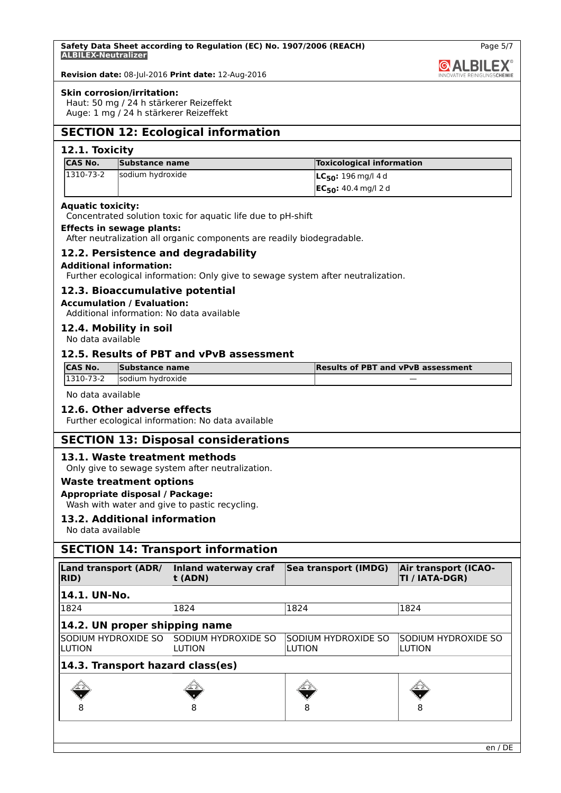

Page 5/7

**Revision date:** 08-Jul-2016 **Print date:** 12-Aug-2016

#### **Skin corrosion/irritation:**

Haut: 50 mg / 24 h stärkerer Reizeffekt Auge: 1 mg / 24 h stärkerer Reizeffekt

# **SECTION 12: Ecological information**

## **12.1. Toxicity**

| <b>CAS No.</b> | Substance name   | <b>Toxicological information</b> |
|----------------|------------------|----------------------------------|
| 1310-73-2      | sodium hydroxide | $ LC_{50}: 196 \text{ mg}/ 4d$   |
|                |                  | $ EC_{50}: 40.4$ mg/l 2 d        |

#### **Aquatic toxicity:**

Concentrated solution toxic for aquatic life due to pH-shift

#### **Effects in sewage plants:**

After neutralization all organic components are readily biodegradable.

## **12.2. Persistence and degradability**

## **Additional information:**

Further ecological information: Only give to sewage system after neutralization.

## **12.3. Bioaccumulative potential**

#### **Accumulation / Evaluation:**

Additional information: No data available

**12.4. Mobility in soil**

No data available

## **12.5. Results of PBT and vPvB assessment**

| <b>CAS No.</b> | Substance name   | <b>Results of PBT and vPvB assessment</b> |
|----------------|------------------|-------------------------------------------|
| 1310-73-2      | sodium hydroxide | --                                        |

No data available

## **12.6. Other adverse effects**

Further ecological information: No data available

## **SECTION 13: Disposal considerations**

## **13.1. Waste treatment methods**

Only give to sewage system after neutralization.

#### **Waste treatment options**

#### **Appropriate disposal / Package:**

Wash with water and give to pastic recycling.

## **13.2. Additional information**

No data available

# **SECTION 14: Transport information**

| Land transport (ADR/<br>RID)     | Inland waterway craf<br>t (ADN)                    | Sea transport (IMDG)          | <b>Air transport (ICAO-</b><br>TI / IATA-DGR) |
|----------------------------------|----------------------------------------------------|-------------------------------|-----------------------------------------------|
| 14.1. UN-No.                     |                                                    |                               |                                               |
| 1824                             | 1824                                               | 1824                          | 1824                                          |
| 14.2. UN proper shipping name    |                                                    |                               |                                               |
| LUTION                           | SODIUM HYDROXIDE SO ISODIUM HYDROXIDE SO<br>LUTION | SODIUM HYDROXIDE SO<br>LUTION | SODIUM HYDROXIDE SO<br>LUTION                 |
| 14.3. Transport hazard class(es) |                                                    |                               |                                               |
|                                  |                                                    |                               |                                               |
|                                  | 8                                                  | 8                             | 8                                             |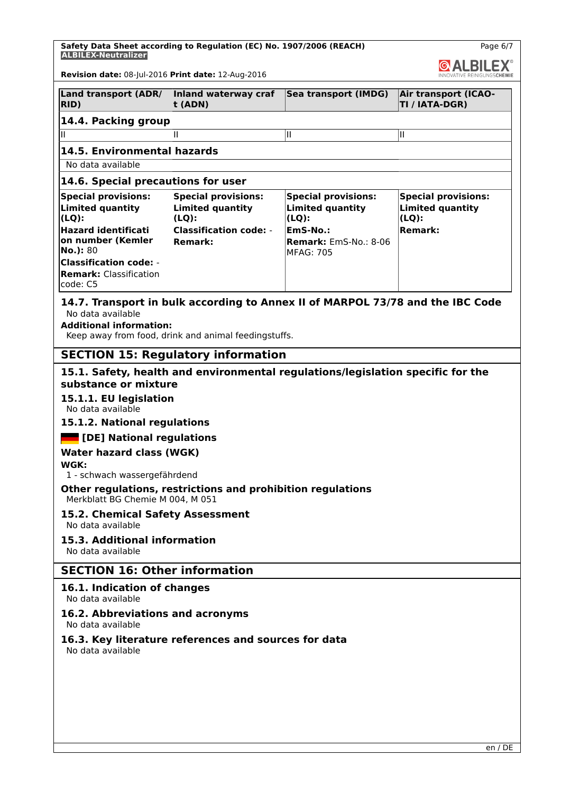**Safety Data Sheet according to Regulation (EC) No. 1907/2006 (REACH) ALBILEX-Neutralizer**

Page 6/7

| 1691667116461411661<br>ALBILEX <sup>®</sup>                                                                                                                                                                    |                                                                                                                                                                          |                                                                                                                            |                                                                                     |  |  |
|----------------------------------------------------------------------------------------------------------------------------------------------------------------------------------------------------------------|--------------------------------------------------------------------------------------------------------------------------------------------------------------------------|----------------------------------------------------------------------------------------------------------------------------|-------------------------------------------------------------------------------------|--|--|
| Revision date: 08-Jul-2016 Print date: 12-Aug-2016                                                                                                                                                             |                                                                                                                                                                          |                                                                                                                            |                                                                                     |  |  |
| <b>Land transport (ADR/</b><br>RID)                                                                                                                                                                            | Inland waterway craf<br>$\mathbf t$ (ADN)                                                                                                                                | Sea transport (IMDG)                                                                                                       | <b>Air transport (ICAO-</b><br>TI / IATA-DGR)                                       |  |  |
| 14.4. Packing group                                                                                                                                                                                            |                                                                                                                                                                          |                                                                                                                            |                                                                                     |  |  |
| Ш                                                                                                                                                                                                              | Ш                                                                                                                                                                        | Ш                                                                                                                          | Ш                                                                                   |  |  |
| 14.5. Environmental hazards                                                                                                                                                                                    |                                                                                                                                                                          |                                                                                                                            |                                                                                     |  |  |
| No data available                                                                                                                                                                                              |                                                                                                                                                                          |                                                                                                                            |                                                                                     |  |  |
| 14.6. Special precautions for user                                                                                                                                                                             |                                                                                                                                                                          |                                                                                                                            |                                                                                     |  |  |
| <b>Special provisions:</b><br><b>Limited quantity</b><br>$(LQ)$ :<br><b>Hazard identificati</b><br>on number (Kemler<br>No.): 80<br><b>Classification code: -</b><br><b>Remark: Classification</b><br>code: C5 | <b>Special provisions:</b><br><b>Limited quantity</b><br>$(LQ)$ :<br><b>Classification code:</b> -<br><b>Remark:</b>                                                     | <b>Special provisions:</b><br><b>Limited quantity</b><br>$(LQ)$ :<br>EmS-No.:<br>Remark: EmS-No.: 8-06<br><b>MFAG: 705</b> | <b>Special provisions:</b><br><b>Limited quantity</b><br>$(LQ)$ :<br><b>Remark:</b> |  |  |
| No data available                                                                                                                                                                                              | 14.7. Transport in bulk according to Annex II of MARPOL 73/78 and the IBC Code<br><b>Additional information:</b><br>Keep away from food, drink and animal feedingstuffs. |                                                                                                                            |                                                                                     |  |  |
|                                                                                                                                                                                                                | <b>SECTION 15: Regulatory information</b>                                                                                                                                |                                                                                                                            |                                                                                     |  |  |
| 15.1. Safety, health and environmental regulations/legislation specific for the<br>substance or mixture<br>15.1.1. EU legislation<br>No data available                                                         |                                                                                                                                                                          |                                                                                                                            |                                                                                     |  |  |
| 15.1.2. National regulations                                                                                                                                                                                   |                                                                                                                                                                          |                                                                                                                            |                                                                                     |  |  |
| <b>DEED</b> [DE] National regulations                                                                                                                                                                          |                                                                                                                                                                          |                                                                                                                            |                                                                                     |  |  |
| <b>Water hazard class (WGK)</b><br>WGK:<br>1 - schwach wassergefährdend                                                                                                                                        |                                                                                                                                                                          |                                                                                                                            |                                                                                     |  |  |
| Other regulations, restrictions and prohibition regulations<br>Merkblatt BG Chemie M 004, M 051                                                                                                                |                                                                                                                                                                          |                                                                                                                            |                                                                                     |  |  |
| 15.2. Chemical Safety Assessment<br>No data available                                                                                                                                                          |                                                                                                                                                                          |                                                                                                                            |                                                                                     |  |  |
| 15.3. Additional information<br>No data available                                                                                                                                                              |                                                                                                                                                                          |                                                                                                                            |                                                                                     |  |  |
| <b>SECTION 16: Other information</b>                                                                                                                                                                           |                                                                                                                                                                          |                                                                                                                            |                                                                                     |  |  |
| 16.1. Indication of changes<br>No data available                                                                                                                                                               |                                                                                                                                                                          |                                                                                                                            |                                                                                     |  |  |
| 16.2. Abbreviations and acronyms<br>No data available                                                                                                                                                          |                                                                                                                                                                          |                                                                                                                            |                                                                                     |  |  |
| 16.3. Key literature references and sources for data<br>No data available                                                                                                                                      |                                                                                                                                                                          |                                                                                                                            |                                                                                     |  |  |
|                                                                                                                                                                                                                |                                                                                                                                                                          |                                                                                                                            |                                                                                     |  |  |